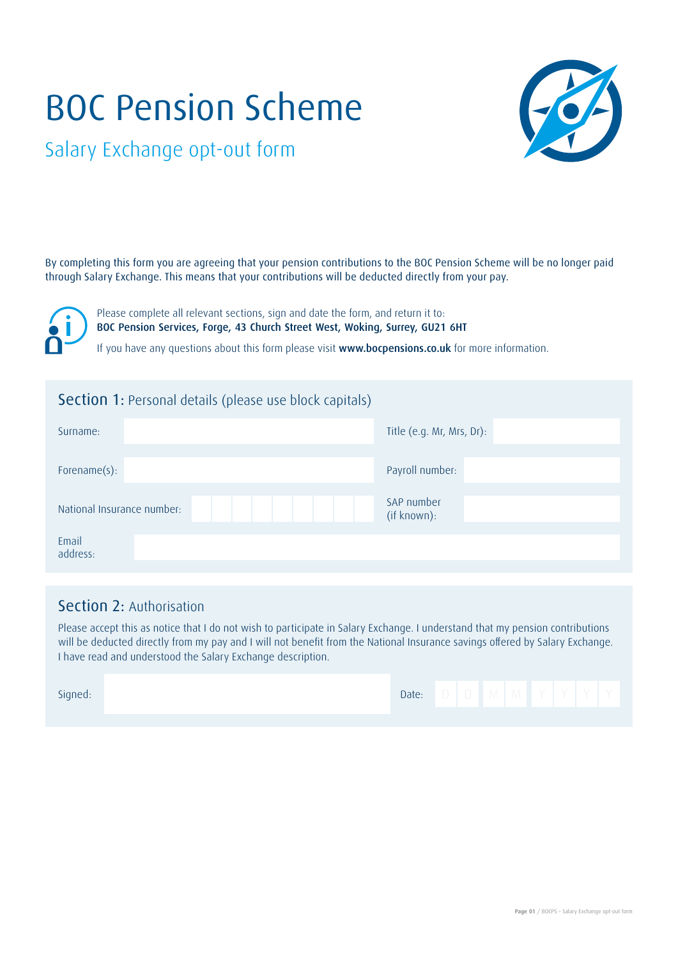# BOC Pension Scheme



Salary Exchange opt-out form

By completing this form you are agreeing that your pension contributions to the BOC Pension Scheme will be no longer paid through Salary Exchange. This means that your contributions will be deducted directly from your pay.

Please complete all relevant sections, sign and date the form, and return it to: BOC Pension Services, Forge, 43 Church Street West, Woking, Surrey, GU21 6HT

If you have any questions about this form please visit www.bocpensions.co.uk for more information.

## Section 1: Personal details (please use block capitals)

| Surname:                   | Title (e.g. Mr, Mrs, Dr): |  |  |  |  |  |
|----------------------------|---------------------------|--|--|--|--|--|
| Forename(s):               | Payroll number:           |  |  |  |  |  |
| National Insurance number: | SAP number<br>(if known): |  |  |  |  |  |
| Email<br>address:          |                           |  |  |  |  |  |

## Section 2: Authorisation

Please accept this as notice that I do not wish to participate in Salary Exchange. I understand that my pension contributions will be deducted directly from my pay and I will not benefit from the National Insurance savings offered by Salary Exchange. I have read and understood the Salary Exchange description.

| Signed: | Date: |  | $\mathbf{V}$ | <b>IVI</b> | $\mathcal{L} = \mathcal{L}$ |  |
|---------|-------|--|--------------|------------|-----------------------------|--|
|         |       |  |              |            |                             |  |